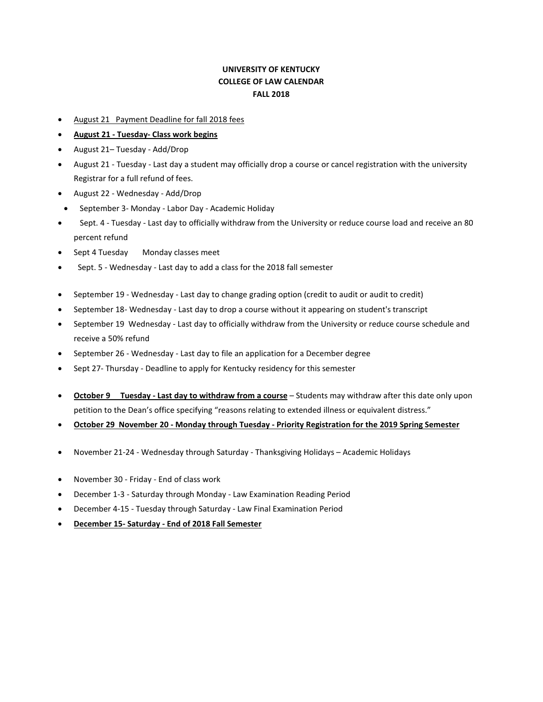## **UNIVERSITY OF KENTUCKY COLLEGE OF LAW CALENDAR FALL 2018**

- August 21 Payment Deadline for fall 2018 fees
- **August 21 - Tuesday- Class work begins**
- August 21– Tuesday Add/Drop
- August 21 Tuesday Last day a student may officially drop a course or cancel registration with the university Registrar for a full refund of fees.
- August 22 Wednesday Add/Drop
- September 3- Monday Labor Day Academic Holiday
- Sept. 4 Tuesday Last day to officially withdraw from the University or reduce course load and receive an 80 percent refund
- Sept 4 Tuesday Monday classes meet
- Sept. 5 Wednesday Last day to add a class for the 2018 fall semester
- September 19 Wednesday Last day to change grading option (credit to audit or audit to credit)
- September 18- Wednesday Last day to drop a course without it appearing on student's transcript
- September 19 Wednesday Last day to officially withdraw from the University or reduce course schedule and receive a 50% refund
- September 26 Wednesday Last day to file an application for a December degree
- Sept 27- Thursday Deadline to apply for Kentucky residency for this semester
- **October 9 Tuesday - Last day to withdraw from a course** Students may withdraw after this date only upon petition to the Dean's office specifying "reasons relating to extended illness or equivalent distress."
- **October 29 November 20 - Monday through Tuesday - Priority Registration for the 2019 Spring Semester**
- November 21-24 Wednesday through Saturday Thanksgiving Holidays Academic Holidays
- November 30 Friday End of class work
- December 1-3 Saturday through Monday Law Examination Reading Period
- December 4-15 Tuesday through Saturday Law Final Examination Period
- **December 15- Saturday - End of 2018 Fall Semester**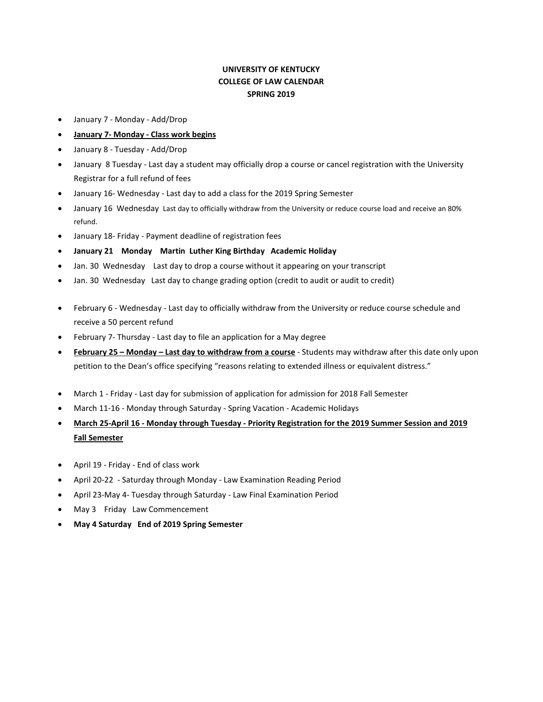## **UNIVERSITY OF KENTUCKY COLLEGE OF LAW CALENDAR SPRING 2019**

- January 7 Monday Add/Drop
- **January 7- Monday - Class work begins**
- January 8 Tuesday Add/Drop
- January 8 Tuesday Last day a student may officially drop a course or cancel registration with the University Registrar for a full refund of fees
- January 16- Wednesday Last day to add a class for the 2019 Spring Semester
- January 16 Wednesday Last day to officially withdraw from the University or reduce course load and receive an 80% refund.
- January 18- Friday Payment deadline of registration fees
- **January 21 Monday Martin Luther King Birthday Academic Holiday**
- Jan. 30 Wednesday Last day to drop a course without it appearing on your transcript
- Jan. 30 Wednesday Last day to change grading option (credit to audit or audit to credit)
- February 6 Wednesday Last day to officially withdraw from the University or reduce course schedule and receive a 50 percent refund
- February 7- Thursday Last day to file an application for a May degree
- **February 25 – Monday – Last day to withdraw from a course** Students may withdraw after this date only upon petition to the Dean's office specifying "reasons relating to extended illness or equivalent distress."
- March 1 Friday Last day for submission of application for admission for 2018 Fall Semester
- March 11-16 Monday through Saturday Spring Vacation Academic Holidays
- **March 25-April 16 - Monday through Tuesday - Priority Registration for the 2019 Summer Session and 2019 Fall Semester**
- April 19 Friday End of class work
- April 20-22 Saturday through Monday Law Examination Reading Period
- April 23-May 4- Tuesday through Saturday Law Final Examination Period
- May 3 Friday Law Commencement
- **May 4 Saturday End of 2019 Spring Semester**